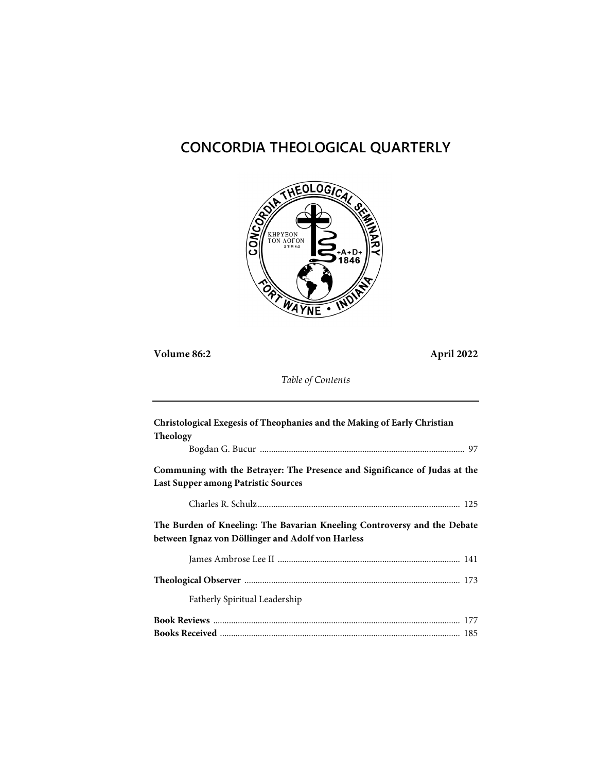# **CONCORDIA THEOLOGICAL QUARTERLY**



**Volume 86:2 April 2022**

*Table of Contents*

| Christological Exegesis of Theophanies and the Making of Early Christian                                                      |  |
|-------------------------------------------------------------------------------------------------------------------------------|--|
| Theology                                                                                                                      |  |
|                                                                                                                               |  |
| Communing with the Betrayer: The Presence and Significance of Judas at the<br>Last Supper among Patristic Sources             |  |
|                                                                                                                               |  |
| The Burden of Kneeling: The Bavarian Kneeling Controversy and the Debate<br>between Ignaz von Döllinger and Adolf von Harless |  |
|                                                                                                                               |  |
|                                                                                                                               |  |
|                                                                                                                               |  |
| Fatherly Spiritual Leadership                                                                                                 |  |
|                                                                                                                               |  |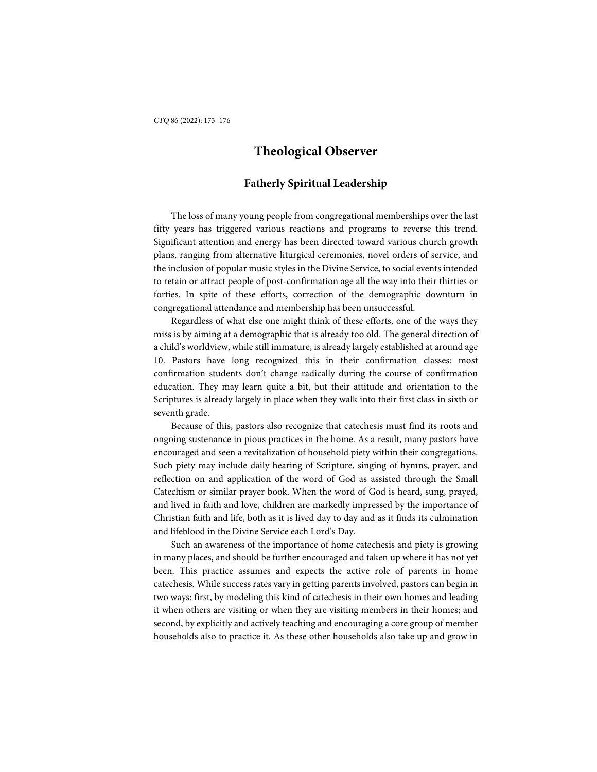## **Theological Observer**

### **Fatherly Spiritual Leadership**

The loss of many young people from congregational memberships over the last fifty years has triggered various reactions and programs to reverse this trend. Significant attention and energy has been directed toward various church growth plans, ranging from alternative liturgical ceremonies, novel orders of service, and the inclusion of popular music styles in the Divine Service, to social events intended to retain or attract people of post-confirmation age all the way into their thirties or forties. In spite of these efforts, correction of the demographic downturn in congregational attendance and membership has been unsuccessful.

Regardless of what else one might think of these efforts, one of the ways they miss is by aiming at a demographic that is already too old. The general direction of a child's worldview, while still immature, is already largely established at around age 10. Pastors have long recognized this in their confirmation classes: most confirmation students don't change radically during the course of confirmation education. They may learn quite a bit, but their attitude and orientation to the Scriptures is already largely in place when they walk into their first class in sixth or seventh grade.

Because of this, pastors also recognize that catechesis must find its roots and ongoing sustenance in pious practices in the home. As a result, many pastors have encouraged and seen a revitalization of household piety within their congregations. Such piety may include daily hearing of Scripture, singing of hymns, prayer, and reflection on and application of the word of God as assisted through the Small Catechism or similar prayer book. When the word of God is heard, sung, prayed, and lived in faith and love, children are markedly impressed by the importance of Christian faith and life, both as it is lived day to day and as it finds its culmination and lifeblood in the Divine Service each Lord's Day.

Such an awareness of the importance of home catechesis and piety is growing in many places, and should be further encouraged and taken up where it has not yet been. This practice assumes and expects the active role of parents in home catechesis. While success rates vary in getting parents involved, pastors can begin in two ways: first, by modeling this kind of catechesis in their own homes and leading it when others are visiting or when they are visiting members in their homes; and second, by explicitly and actively teaching and encouraging a core group of member households also to practice it. As these other households also take up and grow in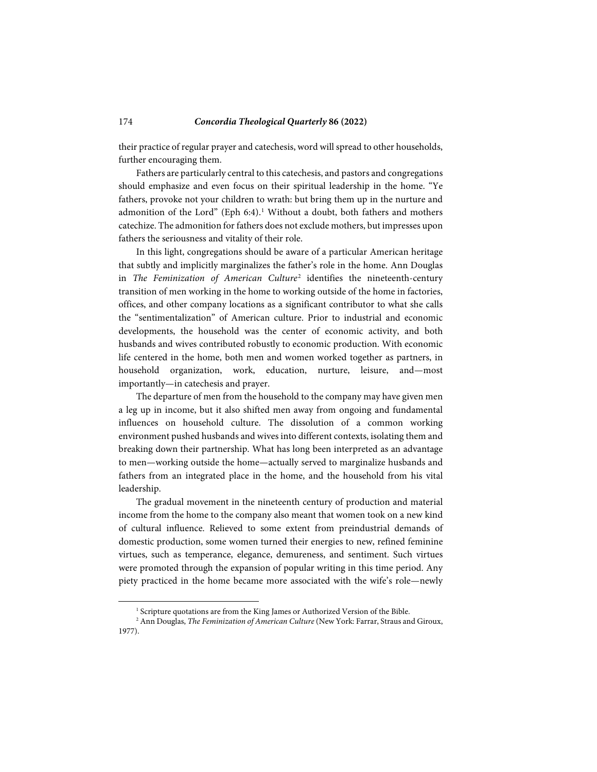#### 174 *Concordia Theological Quarterly* **86 (2022)**

their practice of regular prayer and catechesis, word will spread to other households, further encouraging them.

Fathers are particularly central to this catechesis, and pastors and congregations should emphasize and even focus on their spiritual leadership in the home. "Ye fathers, provoke not your children to wrath: but bring them up in the nurture and admonition of the Lord" (Eph 6:4).<sup>[1](#page-2-0)</sup> Without a doubt, both fathers and mothers catechize. The admonition for fathers does not exclude mothers, but impresses upon fathers the seriousness and vitality of their role.

In this light, congregations should be aware of a particular American heritage that subtly and implicitly marginalizes the father's role in the home. Ann Douglas in *The Feminization of American Culture*[2](#page-2-1) identifies the nineteenth-century transition of men working in the home to working outside of the home in factories, offices, and other company locations as a significant contributor to what she calls the "sentimentalization" of American culture. Prior to industrial and economic developments, the household was the center of economic activity, and both husbands and wives contributed robustly to economic production. With economic life centered in the home, both men and women worked together as partners, in household organization, work, education, nurture, leisure, and—most importantly—in catechesis and prayer.

The departure of men from the household to the company may have given men a leg up in income, but it also shifted men away from ongoing and fundamental influences on household culture. The dissolution of a common working environment pushed husbands and wives into different contexts, isolating them and breaking down their partnership. What has long been interpreted as an advantage to men—working outside the home—actually served to marginalize husbands and fathers from an integrated place in the home, and the household from his vital leadership.

The gradual movement in the nineteenth century of production and material income from the home to the company also meant that women took on a new kind of cultural influence. Relieved to some extent from preindustrial demands of domestic production, some women turned their energies to new, refined feminine virtues, such as temperance, elegance, demureness, and sentiment. Such virtues were promoted through the expansion of popular writing in this time period. Any piety practiced in the home became more associated with the wife's role—newly

l

<sup>&</sup>lt;sup>1</sup> Scripture quotations are from the King James or Authorized Version of the Bible.

<span id="page-2-1"></span><span id="page-2-0"></span><sup>&</sup>lt;sup>2</sup> Ann Douglas, *The Feminization of American Culture* (New York: Farrar, Straus and Giroux, 1977).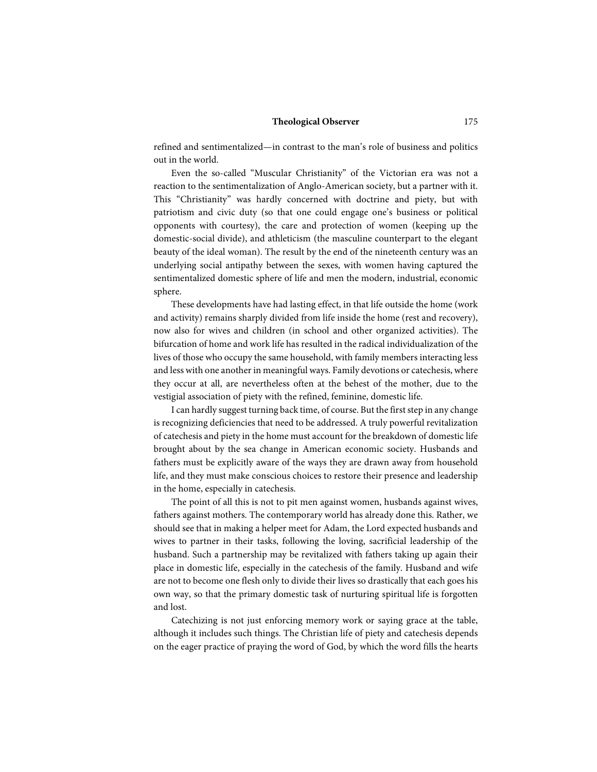#### **Theological Observer** 175

refined and sentimentalized—in contrast to the man's role of business and politics out in the world.

Even the so-called "Muscular Christianity" of the Victorian era was not a reaction to the sentimentalization of Anglo-American society, but a partner with it. This "Christianity" was hardly concerned with doctrine and piety, but with patriotism and civic duty (so that one could engage one's business or political opponents with courtesy), the care and protection of women (keeping up the domestic-social divide), and athleticism (the masculine counterpart to the elegant beauty of the ideal woman). The result by the end of the nineteenth century was an underlying social antipathy between the sexes, with women having captured the sentimentalized domestic sphere of life and men the modern, industrial, economic sphere.

These developments have had lasting effect, in that life outside the home (work and activity) remains sharply divided from life inside the home (rest and recovery), now also for wives and children (in school and other organized activities). The bifurcation of home and work life has resulted in the radical individualization of the lives of those who occupy the same household, with family members interacting less and less with one another in meaningful ways. Family devotions or catechesis, where they occur at all, are nevertheless often at the behest of the mother, due to the vestigial association of piety with the refined, feminine, domestic life.

I can hardly suggest turning back time, of course. But the first step in any change is recognizing deficiencies that need to be addressed. A truly powerful revitalization of catechesis and piety in the home must account for the breakdown of domestic life brought about by the sea change in American economic society. Husbands and fathers must be explicitly aware of the ways they are drawn away from household life, and they must make conscious choices to restore their presence and leadership in the home, especially in catechesis.

The point of all this is not to pit men against women, husbands against wives, fathers against mothers. The contemporary world has already done this. Rather, we should see that in making a helper meet for Adam, the Lord expected husbands and wives to partner in their tasks, following the loving, sacrificial leadership of the husband. Such a partnership may be revitalized with fathers taking up again their place in domestic life, especially in the catechesis of the family. Husband and wife are not to become one flesh only to divide their lives so drastically that each goes his own way, so that the primary domestic task of nurturing spiritual life is forgotten and lost.

Catechizing is not just enforcing memory work or saying grace at the table, although it includes such things. The Christian life of piety and catechesis depends on the eager practice of praying the word of God, by which the word fills the hearts